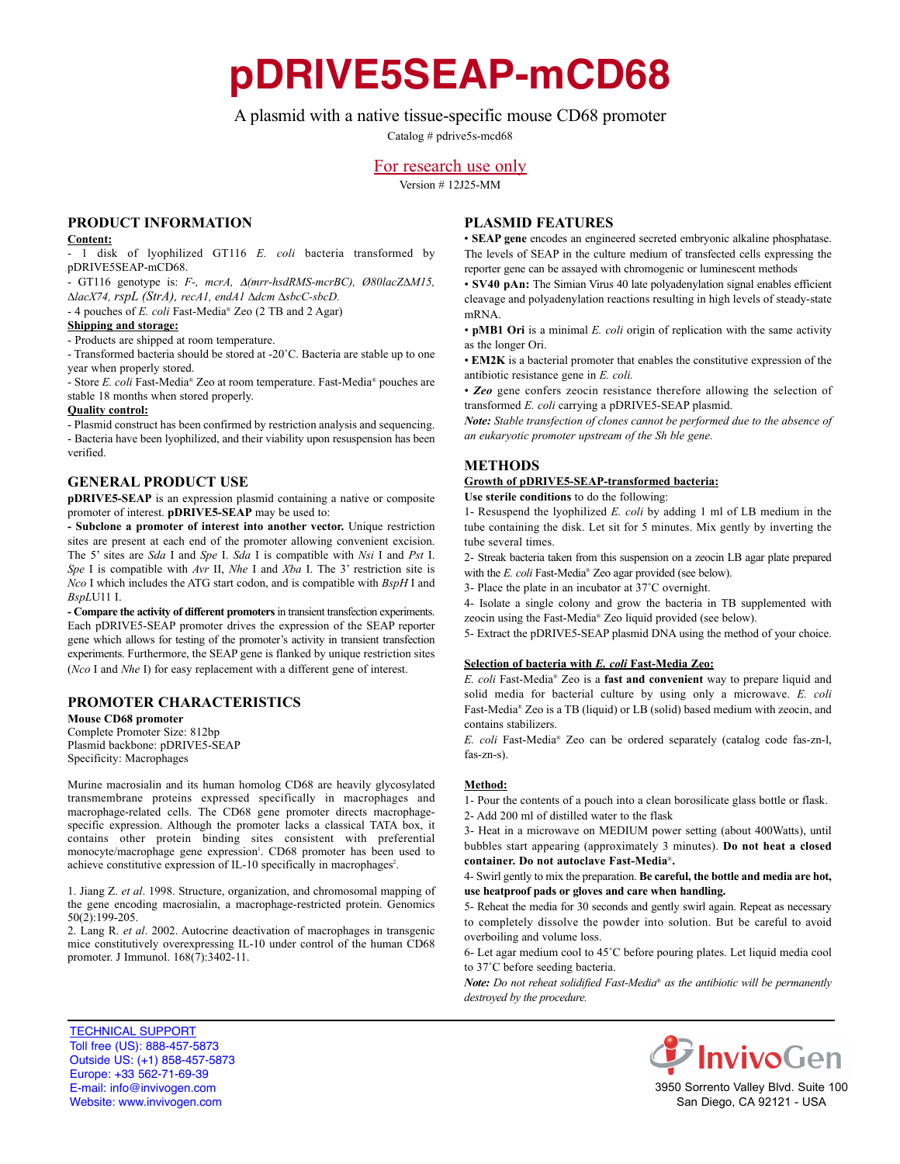**pDRIVE5SEAP-mCD68**

# A plasmid with a native tissue-specific mouse CD68 promoter

Catalog # pdrive5s-mcd68

# For research use only

Version # 12J25-MM

# **PrOduct infOrmatiOn**

#### **content:**

- 1 disk of lyophilized GT116 *E. coli* bacteria transformed by pDRIVE5SEAP-mCD68.

- GT116 genotype is: *F-, mcrA,* D*(mrr-hsdRMS-mcrBC), Ø80lacZ∆M15, ∆lacX74, rspL (StrA), recA1, endA1 ∆dcm ∆sbcC-sbcD.*

- 4 pouches of *E. coli* Fast-Media® Zeo (2 TB and 2 Agar)

#### **shipping and storage:**

- Products are shipped at room temperature.

- Transformed bacteria should be stored at -20˚C. Bacteria are stable up to one year when properly stored.

- Store *E. coli* Fast-Media® Zeo at room temperature. Fast-Media® pouches are stable 18 months when stored properly.

#### **Quality control:**

- Plasmid construct has been confirmed by restriction analysis and sequencing. - Bacteria have been lyophilized, and their viability upon resuspension has been verified.

### **General PrOduct use**

**pDRIVE5-SEAP** is an expression plasmid containing a native or composite promoter of interest. **pDRIVE5-SEAP** may be used to:

**- subclone a promoter of interest into another vector.** Unique restriction sites are present at each end of the promoter allowing convenient excision. The 5' sites are *Sda* I and *Spe* I. *Sda* I is compatible with *Nsi* I and *Pst* I. *Spe* I is compatible with *Avr* II, *Nhe* I and *Xba* I. The 3' restriction site is *Nco* I which includes the ATG start codon, and is compatible with *BspH* I and *BspL*U11 I.

**- compare the activity of different promoters**in transient transfection experiments. Each pDRIVE5-SEAP promoter drives the expression of the SEAP reporter gene which allows for testing of the promoter's activity in transient transfection experiments. Furthermore, the SEAP gene is flanked by unique restriction sites (*Nco* I and *Nhe* I) for easy replacement with a different gene of interest.

### **PrOmOter characteristics**

**Mouse CD68 promoter** Complete Promoter Size: 812bp Plasmid backbone: pDRIVE5-SEAP Specificity: Macrophages

Murine macrosialin and its human homolog CD68 are heavily glycosylated transmembrane proteins expressed specifically in macrophages and macrophage-related cells. The CD68 gene promoter directs macrophagespecific expression. Although the promoter lacks a classical TATA box, it contains other protein binding sites consistent with preferential monocyte/macrophage gene expression<sup>1</sup>. CD68 promoter has been used to achieve constitutive expression of IL-10 specifically in macrophages<sup>2</sup>.

1. Jiang Z. *et al*. 1998. Structure, organization, and chromosomal mapping of the gene encoding macrosialin, a macrophage-restricted protein. Genomics 50(2):199-205.

2. Lang R. *et al*. 2002. Autocrine deactivation of macrophages in transgenic mice constitutively overexpressing IL-10 under control of the human CD68 promoter. J Immunol. 168(7):3402-11.

# **Plasmid features**

• **seaP gene** encodes an engineered secreted embryonic alkaline phosphatase. The levels of SEAP in the culture medium of transfected cells expressing the reporter gene can be assayed with chromogenic or luminescent methods

• **sV40 pan:** The Simian Virus 40 late polyadenylation signal enables efficient cleavage and polyadenylation reactions resulting in high levels of steady-state mRNA.

• **pMB1 Ori** is a minimal *E. coli* origin of replication with the same activity as the longer Ori.

• **em2K** is a bacterial promoter that enables the constitutive expression of the antibiotic resistance gene in *E. coli.*

• *Zeo* gene confers zeocin resistance therefore allowing the selection of transformed *E. coli* carrying a pDRIVE5-SEAP plasmid.

*Note: Stable transfection of clones cannot be performed due to the absence of an eukaryotic promoter upstream of the Sh ble gene.*

# **methOds**

#### **Growth of pdriVe5-seaP-transformed bacteria:**

**use sterile conditions** to do the following:

1- Resuspend the lyophilized *E. coli* by adding 1 ml of LB medium in the tube containing the disk. Let sit for 5 minutes. Mix gently by inverting the tube several times.

2- Streak bacteria taken from this suspension on a zeocin LB agar plate prepared with the *E. coli* Fast-Media® Zeo agar provided (see below).

3- Place the plate in an incubator at 37˚C overnight.

4- Isolate a single colony and grow the bacteria in TB supplemented with zeocin using the Fast-Media® Zeo liquid provided (see below).

5- Extract the pDRIVE5-SEAP plasmid DNA using the method of your choice.

### **selection of bacteria with** *E. coli* **fast-media Zeo:**

*E. coli* Fast-Media® Zeo is a **fast and convenient** way to prepare liquid and solid media for bacterial culture by using only a microwave. *E. coli* Fast-Media® Zeo is a TB (liquid) or LB (solid) based medium with zeocin, and contains stabilizers.

*E. coli* Fast-Media® Zeo can be ordered separately (catalog code fas-zn-l, fas-zn-s).

#### **method:**

1- Pour the contents of a pouch into a clean borosilicate glass bottle or flask. 2- Add 200 ml of distilled water to the flask

3- Heat in a microwave on MEDIUM power setting (about 400Watts), until bubbles start appearing (approximately 3 minutes). **Do not heat a closed container. do not autoclave fast-media**®**.**

#### 4- Swirl gently to mix the preparation. **Be careful, the bottle and media are hot, use heatproof pads or gloves and care when handling.**

5- Reheat the media for 30 seconds and gently swirl again. Repeat as necessary to completely dissolve the powder into solution. But be careful to avoid overboiling and volume loss.

6- Let agar medium cool to 45˚C before pouring plates. Let liquid media cool to 37˚C before seeding bacteria.

*Note: Do not reheat solidified Fast-Media*® *as the antibiotic will be permanently destroyed by the procedure.*





3950 Sorrento Valley Blvd. Suite 100 San Diego, CA 92121 - USA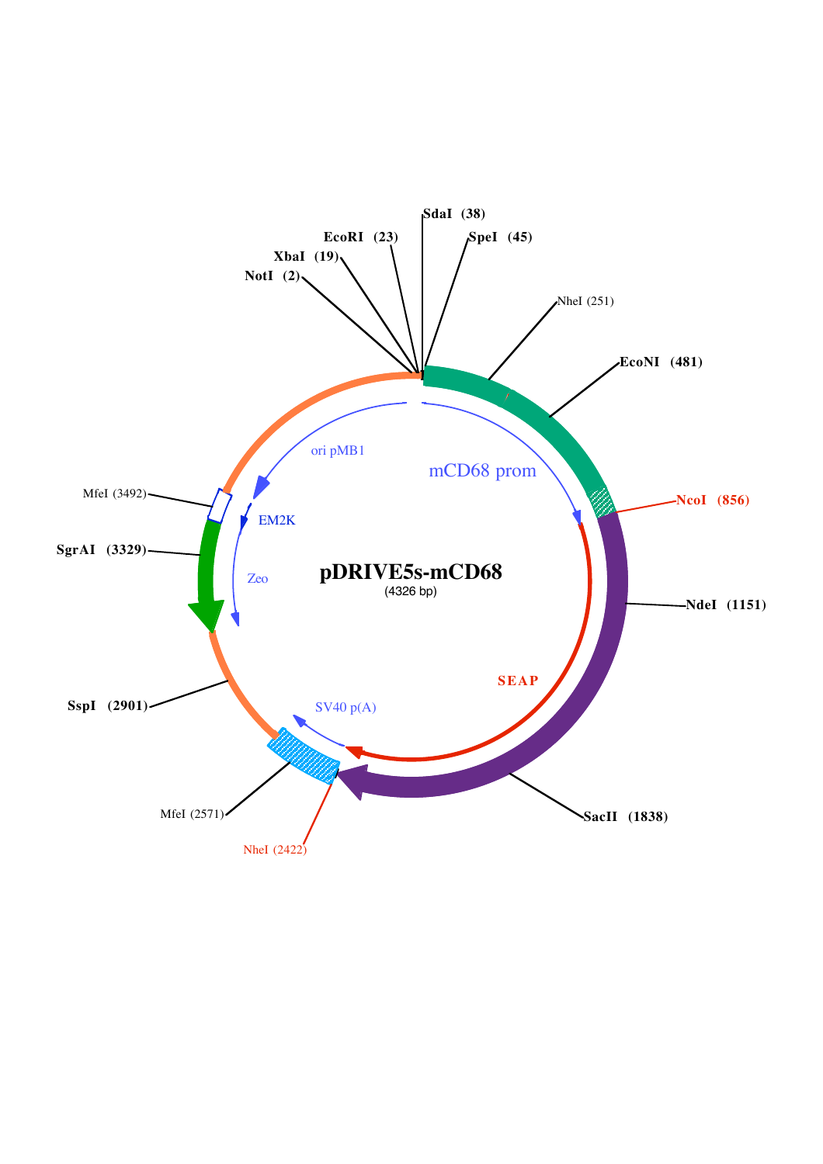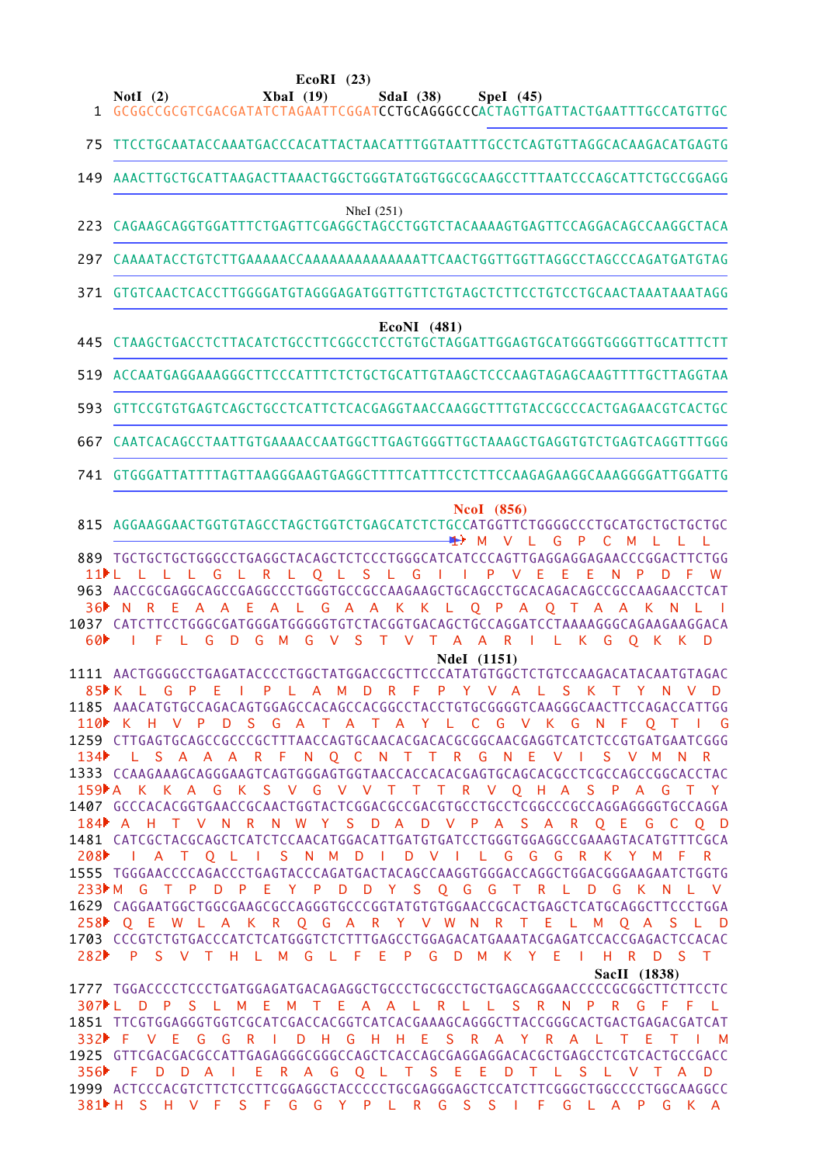### **EcoRI (23)**

**NotI (2) XbaI (19) SdaI (38) SpeI (45)**

1 GCGGCCGCGTCGACGATATCTAGAATTCGGAT**CCTGCAGGGCCC**ACTAGTTGATTACTGAATTTGCCATGTTGC

75 TTCCTGCAATACCAAATGACCCACATTACTAACATTTGGTAATTTGCCTCAGTGTTAGGCACAAGACATGAGTG

AAACTTGCTGCATTAAGACTTAAACTGGCTGGGTATGGTGGCGCAAGCCTTTAATCCCAGCATTCTGCCGGAGG 149

### NheI (251)

- 223 CAGAAGCAGGTGGATTTCTGAGTTCGAGGCTAGCCTGGTCTACAAAAGTGAGTTCCAGGACAGCCAAGGCTACA
- CAAAATACCTGTCTTGAAAAACCAAAAAAAAAAAAAATTCAACTGGTTGGTTAGGCCTAGCCCAGATGATGTAG 297
- GTGTCAACTCACCTTGGGGATGTAGGGAGATGGTTGTTCTGTAGCTCTTCCTGTCCTGCAACTAAATAAATAGG 371

# **EcoNI (481)**

CTAAGCTGACCTCTTACATCTGCCTTCGGCCTCCTGTGCTAGGATTGGAGTGCATGGGTGGGGTTGCATTTCTT 445

ACCAATGAGGAAAGGGCTTCCCATTTCTCTGCTGCATTGTAAGCTCCCAAGTAGAGCAAGTTTTGCTTAGGTAA 519

GTTCCGTGTGAGTCAGCTGCCTCATTCTCACGAGGTAACCAAGGCTTTGTACCGCCCACTGAGAACGTCACTGC 593

CAATCACAGCCTAATTGTGAAAACCAATGGCTTGAGTGGGTTGCTAAAGCTGAGGTGTCTGAGTCAGGTTTGGG 667

741 GTGGGATTATTTTAGTTAAGGGAAGTGAGGCTTTTCATTTCCTCTTCCAAGAGAGGCAAAGGGGATTGGATTG

## **NcoI (856)**

AGGAAGGAACTGGTGTAGCCTAGCTGGTCTGAGCATCTCTGCCATGGTTCTGGGGCCCTGCATGCTGCTGCTGC 815 M V L G P C M L L L 1

TGCTGCTGCTGGGCCTGAGGCTACAGCTCTCCCTGGGCATCATCCCAGTTGAGGAGGAGAACCCGGACTTCTGG 889 AACCGCGAGGCAGCCGAGGCCCTGGGTGCCGCCAAGAAGCTGCAGCCTGCACAGACAGCCGCCAAGAACCTCAT 963 CATCTTCCTGGGCGATGGGATGGGGGTGTCTACGGTGACAGCTGCCAGGATCCTAAAAGGGCAGAAGAAGGACA 1037 L L L L G L R L Q L S L G I I P V E E E N P D F W 1 1 N R E A A E A L G A A K K L Q P A Q T A A K N L I 3 6 I F L G D G M G V S T V T A A R I L K G Q K K D  $60<sup>b</sup>$ 

**NdeI (1151)**

AACTGGGGCCTGAGATACCCCTGGCTATGGACCGCTTCCCATATGTGGCTCTGTCCAAGACATACAATGTAGAC 1111 AAACATGTGCCAGACAGTGGAGCCACAGCCACGGCCTACCTGTGCGGGGTCAAGGGCAACTTCCAGACCATTGG 1185 1259 CTTGAGTGCAGCCGCCCGCTTTAACCAGTGCAACACGACACGCGGCAACGAGGTCATCTCCGTGATGAATCGGG 1333 CCAAGAAAGCAGGGAAGTCAGTGGGAGTGGTAACCACCACACGAGTGCAGCACGCCTCGCCAGCCGGCACCTAC GCCCACACGGTGAACCGCAACTGGTACTCGGACGCCGACGTGCCTGCCTCGGCCCGCCAGGAGGGGTGCCAGGA 1407 CATCGCTACGCAGCTCATCTCCAACATGGACATTGATGTGATCCTGGGTGGAGGCCGAAAGTACATGTTTCGCA 1481 1555 TGGGAACCCCAGACCCTGAGTACCCAGATGACTACAGCCAAGGTGGGACCAGGCTGGACGGGAAGAATCTGGTG CAGGAATGGCTGGCGAAGCGCCAGGGTGCCCGGTATGTGTGGAACCGCACTGAGCTCATGCAGGCTTCCCTGGA 1629 CCCGTCTGTGACCCATCTCATGGGTCTCTTTGAGCCTGGAGACATGAAATACGAGATCCACCGAGACTCCACAC 1703 K L G P E I P L A M D R F P Y V A L S K T Y N V D 8 5 K H V P D S G A T A T A Y L C G V K G N F Q T I G 110 L S A A A R F N Q C N T T R G N E V I S V M N R 159 A K K A G K S V G V V T T T R V Q H A S P A G T Y A H T V N R N W Y S D A D V P A S A R Q E G C Q D 184 I A T Q L I S N M D I D V I L G G G R K Y M F R 208 M G T P D P E Y P D D Y S Q G G T R L D G K N L V 233 Q E W L A K R Q G A R Y V W N R T E L M Q A S L D 258 P S V T H L M G L F E P G D M K Y E I H R D S T 282 **SacII (1838)**  $134$ 

1777 TGGACCCCTCCCTGATGGAGATGACAGAGGCTGCCCTGCGCCTGCTGAGCAGGAACCCCCGCGGCTTCTTCCTC TTCGTGGAGGGTGGTCGCATCGACCACGGTCATCACGAAAGCAGGGCTTACCGGGCACTGACTGAGACGATCAT 1851 1925 GTTCGACGACGCCATTGAGAGGGCGGGCCAGCTCACCAGCGAGGAGGACACGCTGAGCCTCGTCACTGCCGACC ACTCCCACGTCTTCTCCTTCGGAGGCTACCCCCTGCGAGGGAGCTCCATCTTCGGGCTGGCCCCTGGCAAGGCC 1999 L D P S L M E M T E A A L R L L S R N P R G F F L 307 F V E G G R I D H G H H E S R A Y R A L T E T I M 332 F D D A I E R A G Q L T S E E D T L S L V T A D 356 H S H V F S F G G Y P L R G S S I F G L A P G K A 381